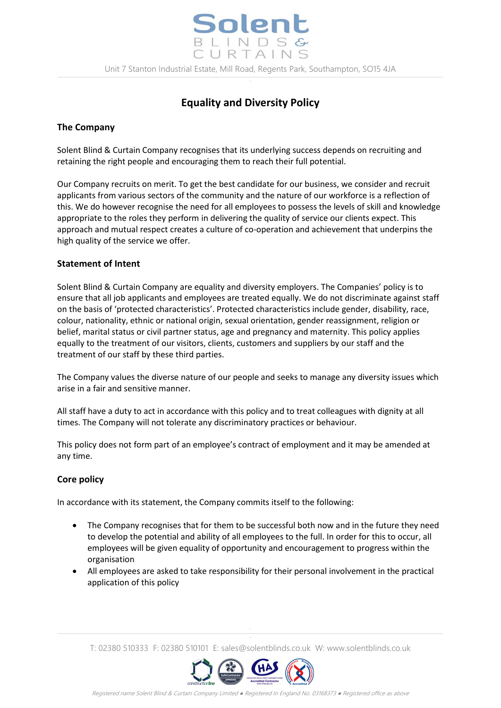

# **Equality and Diversity Policy**

# **The Company**

Solent Blind & Curtain Company recognises that its underlying success depends on recruiting and retaining the right people and encouraging them to reach their full potential.

Our Company recruits on merit. To get the best candidate for our business, we consider and recruit applicants from various sectors of the community and the nature of our workforce is a reflection of this. We do however recognise the need for all employees to possess the levels of skill and knowledge appropriate to the roles they perform in delivering the quality of service our clients expect. This approach and mutual respect creates a culture of co-operation and achievement that underpins the high quality of the service we offer.

## **Statement of Intent**

Solent Blind & Curtain Company are equality and diversity employers. The Companies' policy is to ensure that all job applicants and employees are treated equally. We do not discriminate against staff on the basis of 'protected characteristics'. Protected characteristics include gender, disability, race, colour, nationality, ethnic or national origin, sexual orientation, gender reassignment, religion or belief, marital status or civil partner status, age and pregnancy and maternity. This policy applies equally to the treatment of our visitors, clients, customers and suppliers by our staff and the treatment of our staff by these third parties.

The Company values the diverse nature of our people and seeks to manage any diversity issues which arise in a fair and sensitive manner.

All staff have a duty to act in accordance with this policy and to treat colleagues with dignity at all times. The Company will not tolerate any discriminatory practices or behaviour.

This policy does not form part of an employee's contract of employment and it may be amended at any time.

## **Core policy**

In accordance with its statement, the Company commits itself to the following:

- The Company recognises that for them to be successful both now and in the future they need to develop the potential and ability of all employees to the full. In order for this to occur, all employees will be given equality of opportunity and encouragement to progress within the organisation
- All employees are asked to take responsibility for their personal involvement in the practical application of this policy

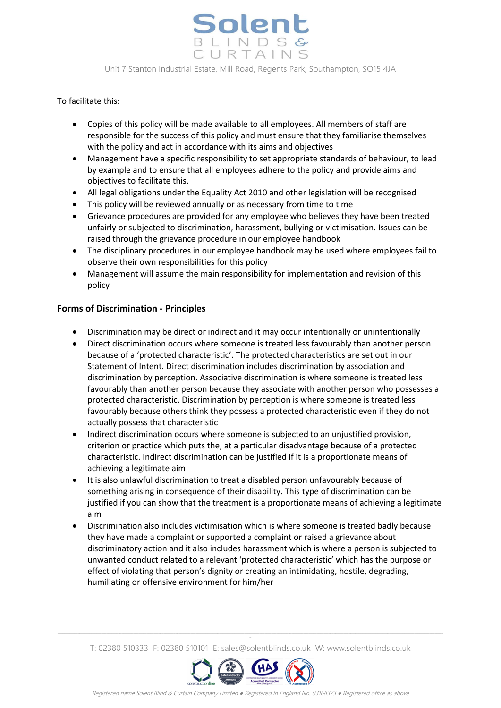#### To facilitate this:

- Copies of this policy will be made available to all employees. All members of staff are responsible for the success of this policy and must ensure that they familiarise themselves with the policy and act in accordance with its aims and objectives
- Management have a specific responsibility to set appropriate standards of behaviour, to lead by example and to ensure that all employees adhere to the policy and provide aims and objectives to facilitate this.
- All legal obligations under the Equality Act 2010 and other legislation will be recognised
- This policy will be reviewed annually or as necessary from time to time
- Grievance procedures are provided for any employee who believes they have been treated unfairly or subjected to discrimination, harassment, bullying or victimisation. Issues can be raised through the grievance procedure in our employee handbook
- The disciplinary procedures in our employee handbook may be used where employees fail to observe their own responsibilities for this policy
- Management will assume the main responsibility for implementation and revision of this policy

# **Forms of Discrimination - Principles**

- Discrimination may be direct or indirect and it may occur intentionally or unintentionally
- Direct discrimination occurs where someone is treated less favourably than another person because of a 'protected characteristic'. The protected characteristics are set out in our Statement of Intent. Direct discrimination includes discrimination by association and discrimination by perception. Associative discrimination is where someone is treated less favourably than another person because they associate with another person who possesses a protected characteristic. Discrimination by perception is where someone is treated less favourably because others think they possess a protected characteristic even if they do not actually possess that characteristic
- Indirect discrimination occurs where someone is subjected to an unjustified provision, criterion or practice which puts the, at a particular disadvantage because of a protected characteristic. Indirect discrimination can be justified if it is a proportionate means of achieving a legitimate aim
- It is also unlawful discrimination to treat a disabled person unfavourably because of something arising in consequence of their disability. This type of discrimination can be justified if you can show that the treatment is a proportionate means of achieving a legitimate aim
- Discrimination also includes victimisation which is where someone is treated badly because they have made a complaint or supported a complaint or raised a grievance about discriminatory action and it also includes harassment which is where a person is subjected to unwanted conduct related to a relevant 'protected characteristic' which has the purpose or effect of violating that person's dignity or creating an intimidating, hostile, degrading, humiliating or offensive environment for him/her

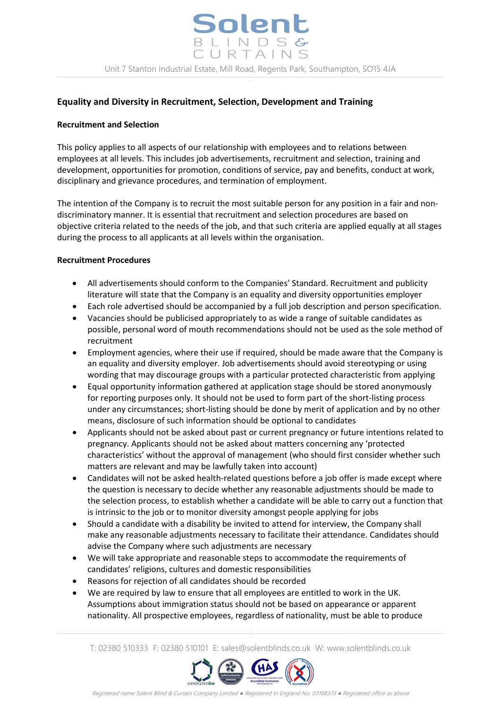## **Equality and Diversity in Recruitment, Selection, Development and Training**

#### **Recruitment and Selection**

This policy applies to all aspects of our relationship with employees and to relations between employees at all levels. This includes job advertisements, recruitment and selection, training and development, opportunities for promotion, conditions of service, pay and benefits, conduct at work, disciplinary and grievance procedures, and termination of employment.

The intention of the Company is to recruit the most suitable person for any position in a fair and nondiscriminatory manner. It is essential that recruitment and selection procedures are based on objective criteria related to the needs of the job, and that such criteria are applied equally at all stages during the process to all applicants at all levels within the organisation.

#### **Recruitment Procedures**

- All advertisements should conform to the Companies' Standard. Recruitment and publicity literature will state that the Company is an equality and diversity opportunities employer
- Each role advertised should be accompanied by a full job description and person specification.
- Vacancies should be publicised appropriately to as wide a range of suitable candidates as possible, personal word of mouth recommendations should not be used as the sole method of recruitment
- Employment agencies, where their use if required, should be made aware that the Company is an equality and diversity employer. Job advertisements should avoid stereotyping or using wording that may discourage groups with a particular protected characteristic from applying
- Equal opportunity information gathered at application stage should be stored anonymously for reporting purposes only. It should not be used to form part of the short-listing process under any circumstances; short-listing should be done by merit of application and by no other means, disclosure of such information should be optional to candidates
- Applicants should not be asked about past or current pregnancy or future intentions related to pregnancy. Applicants should not be asked about matters concerning any 'protected characteristics' without the approval of management (who should first consider whether such matters are relevant and may be lawfully taken into account)
- Candidates will not be asked health-related questions before a job offer is made except where the question is necessary to decide whether any reasonable adjustments should be made to the selection process, to establish whether a candidate will be able to carry out a function that is intrinsic to the job or to monitor diversity amongst people applying for jobs
- Should a candidate with a disability be invited to attend for interview, the Company shall make any reasonable adjustments necessary to facilitate their attendance. Candidates should advise the Company where such adjustments are necessary
- We will take appropriate and reasonable steps to accommodate the requirements of candidates' religions, cultures and domestic responsibilities
- Reasons for rejection of all candidates should be recorded
- We are required by law to ensure that all employees are entitled to work in the UK. Assumptions about immigration status should not be based on appearance or apparent nationality. All prospective employees, regardless of nationality, must be able to produce

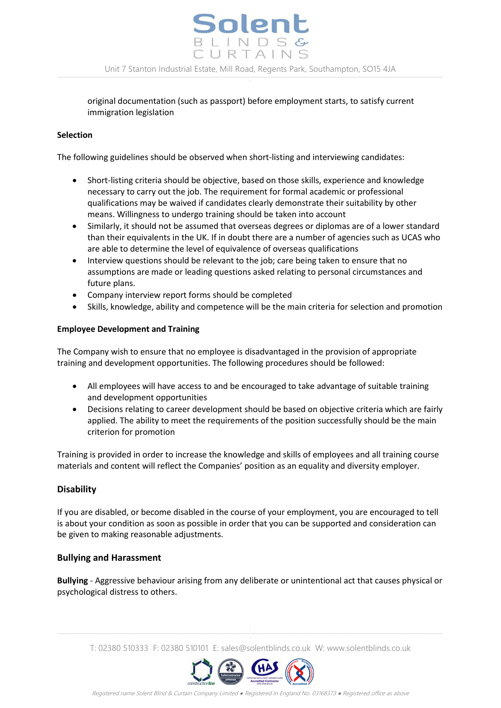

original documentation (such as passport) before employment starts, to satisfy current immigration legislation

#### **Selection**

The following guidelines should be observed when short-listing and interviewing candidates:

- Short-listing criteria should be objective, based on those skills, experience and knowledge necessary to carry out the job. The requirement for formal academic or professional qualifications may be waived if candidates clearly demonstrate their suitability by other means. Willingness to undergo training should be taken into account
- Similarly, it should not be assumed that overseas degrees or diplomas are of a lower standard than their equivalents in the UK. If in doubt there are a number of agencies such as UCAS who are able to determine the level of equivalence of overseas qualifications
- Interview questions should be relevant to the job; care being taken to ensure that no assumptions are made or leading questions asked relating to personal circumstances and future plans.
- Company interview report forms should be completed
- Skills, knowledge, ability and competence will be the main criteria for selection and promotion

#### **Employee Development and Training**

The Company wish to ensure that no employee is disadvantaged in the provision of appropriate training and development opportunities. The following procedures should be followed:

- All employees will have access to and be encouraged to take advantage of suitable training and development opportunities
- Decisions relating to career development should be based on objective criteria which are fairly applied. The ability to meet the requirements of the position successfully should be the main criterion for promotion

Training is provided in order to increase the knowledge and skills of employees and all training course materials and content will reflect the Companies' position as an equality and diversity employer.

#### **Disability**

If you are disabled, or become disabled in the course of your employment, you are encouraged to tell is about your condition as soon as possible in order that you can be supported and consideration can be given to making reasonable adjustments.

#### **Bullying and Harassment**

**Bullying** - Aggressive behaviour arising from any deliberate or unintentional act that causes physical or psychological distress to others.

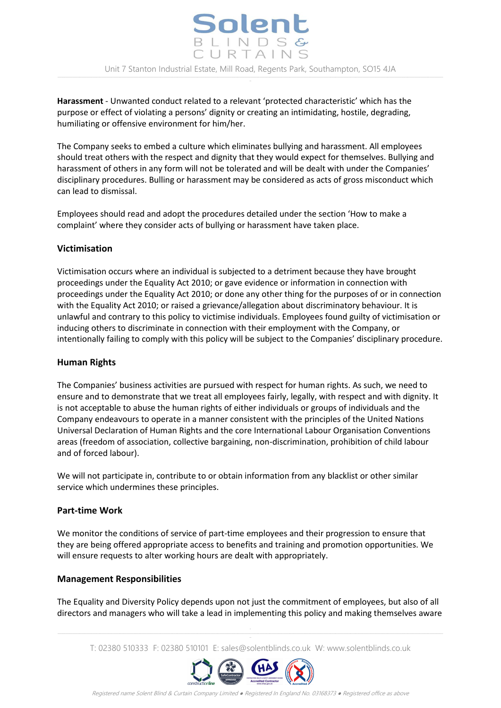Solent BLINDSG URTAINS Unit 7 Stanton Industrial Estate, Mill Road, Regents Park, Southampton, SO15 4JA

**Harassment** - Unwanted conduct related to a relevant 'protected characteristic' which has the purpose or effect of violating a persons' dignity or creating an intimidating, hostile, degrading, humiliating or offensive environment for him/her.

The Company seeks to embed a culture which eliminates bullying and harassment. All employees should treat others with the respect and dignity that they would expect for themselves. Bullying and harassment of others in any form will not be tolerated and will be dealt with under the Companies' disciplinary procedures. Bulling or harassment may be considered as acts of gross misconduct which can lead to dismissal.

Employees should read and adopt the procedures detailed under the section 'How to make a complaint' where they consider acts of bullying or harassment have taken place.

#### **Victimisation**

Victimisation occurs where an individual is subjected to a detriment because they have brought proceedings under the Equality Act 2010; or gave evidence or information in connection with proceedings under the Equality Act 2010; or done any other thing for the purposes of or in connection with the Equality Act 2010; or raised a grievance/allegation about discriminatory behaviour. It is unlawful and contrary to this policy to victimise individuals. Employees found guilty of victimisation or inducing others to discriminate in connection with their employment with the Company, or intentionally failing to comply with this policy will be subject to the Companies' disciplinary procedure.

#### **Human Rights**

The Companies' business activities are pursued with respect for human rights. As such, we need to ensure and to demonstrate that we treat all employees fairly, legally, with respect and with dignity. It is not acceptable to abuse the human rights of either individuals or groups of individuals and the Company endeavours to operate in a manner consistent with the principles of the United Nations Universal Declaration of Human Rights and the core International Labour Organisation Conventions areas (freedom of association, collective bargaining, non-discrimination, prohibition of child labour and of forced labour).

We will not participate in, contribute to or obtain information from any blacklist or other similar service which undermines these principles.

#### **Part-time Work**

We monitor the conditions of service of part-time employees and their progression to ensure that they are being offered appropriate access to benefits and training and promotion opportunities. We will ensure requests to alter working hours are dealt with appropriately.

## **Management Responsibilities**

The Equality and Diversity Policy depends upon not just the commitment of employees, but also of all directors and managers who will take a lead in implementing this policy and making themselves aware

T: 02380 510333 F: 02380 510101 E: sales@solentblinds.co.uk W: www.solentblinds.co.uk



Registered name Solent Blind & Curtain Company Limited ● Registered In England No. 03168373 ● Registered office as above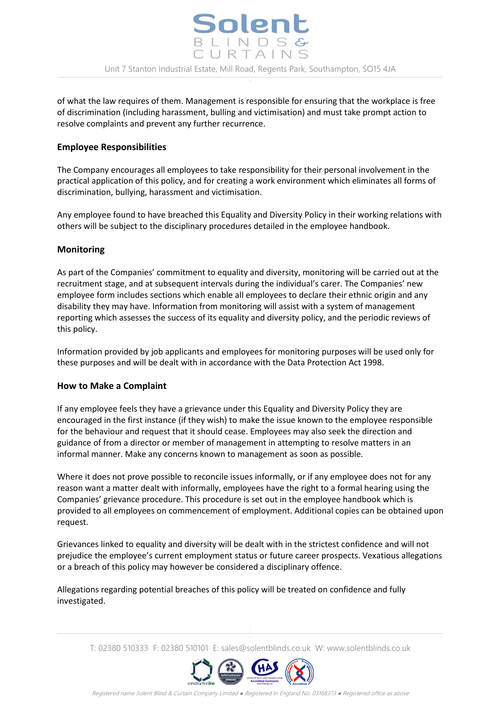of what the law requires of them. Management is responsible for ensuring that the workplace is free of discrimination (including harassment, bulling and victimisation) and must take prompt action to resolve complaints and prevent any further recurrence.

# **Employee Responsibilities**

The Company encourages all employees to take responsibility for their personal involvement in the practical application of this policy, and for creating a work environment which eliminates all forms of discrimination, bullying, harassment and victimisation.

Any employee found to have breached this Equality and Diversity Policy in their working relations with others will be subject to the disciplinary procedures detailed in the employee handbook.

# **Monitoring**

As part of the Companies' commitment to equality and diversity, monitoring will be carried out at the recruitment stage, and at subsequent intervals during the individual's carer. The Companies' new employee form includes sections which enable all employees to declare their ethnic origin and any disability they may have. Information from monitoring will assist with a system of management reporting which assesses the success of its equality and diversity policy, and the periodic reviews of this policy.

Information provided by job applicants and employees for monitoring purposes will be used only for these purposes and will be dealt with in accordance with the Data Protection Act 1998.

## **How to Make a Complaint**

If any employee feels they have a grievance under this Equality and Diversity Policy they are encouraged in the first instance (if they wish) to make the issue known to the employee responsible for the behaviour and request that it should cease. Employees may also seek the direction and guidance of from a director or member of management in attempting to resolve matters in an informal manner. Make any concerns known to management as soon as possible.

Where it does not prove possible to reconcile issues informally, or if any employee does not for any reason want a matter dealt with informally, employees have the right to a formal hearing using the Companies' grievance procedure. This procedure is set out in the employee handbook which is provided to all employees on commencement of employment. Additional copies can be obtained upon request.

Grievances linked to equality and diversity will be dealt with in the strictest confidence and will not prejudice the employee's current employment status or future career prospects. Vexatious allegations or a breach of this policy may however be considered a disciplinary offence.

Allegations regarding potential breaches of this policy will be treated on confidence and fully investigated.

T: 02380 510333 F: 02380 510101 E: sales@solentblinds.co.uk W: www.solentblinds.co.uk



Registered name Solent Blind & Curtain Company Limited ● Registered In England No. 03168373 ● Registered office as above